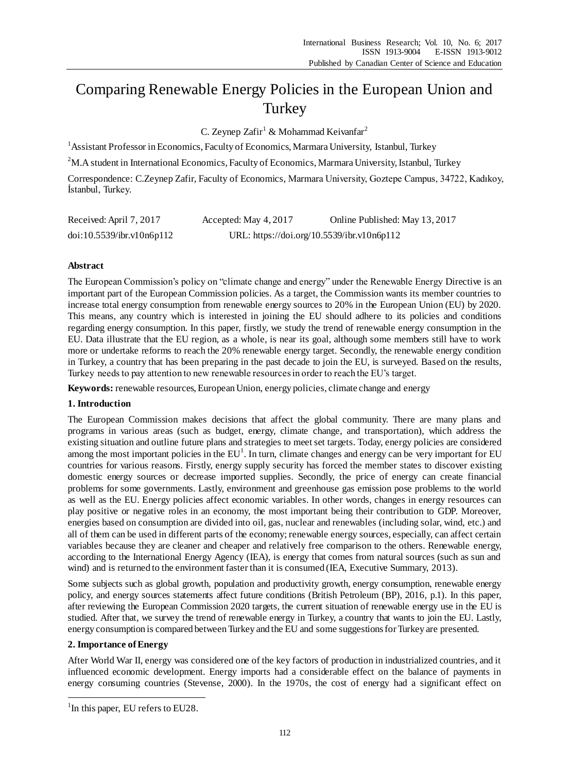# Comparing Renewable Energy Policies in the European Union and **Turkey**

C. Zeynep Zafir<sup>1</sup> & Mohammad Keivanfar<sup>2</sup>

<sup>1</sup> Assistant Professor in Economics, Faculty of Economics, Marmara University, Istanbul, Turkey

<sup>2</sup>M.A student in International Economics, Faculty of Economics, Marmara University, Istanbul, Turkey

Correspondence: C.Zeynep Zafir, Faculty of Economics, Marmara University, Goztepe Campus, 34722, Kadıkoy, İstanbul, Turkey.

| Received: April 7, 2017   | Accepted: May 4, 2017 | Online Published: May 13, 2017             |
|---------------------------|-----------------------|--------------------------------------------|
| doi:10.5539/ibr.v10n6p112 |                       | URL: https://doi.org/10.5539/ibr.v10n6p112 |

# **Abstract**

The European Commission's policy on "climate change and energy" under the Renewable Energy Directive is an important part of the European Commission policies. As a target, the Commission wants its member countries to increase total energy consumption from renewable energy sources to 20% in the European Union (EU) by 2020. This means, any country which is interested in joining the EU should adhere to its policies and conditions regarding energy consumption. In this paper, firstly, we study the trend of renewable energy consumption in the EU. Data illustrate that the EU region, as a whole, is near its goal, although some members still have to work more or undertake reforms to reach the 20% renewable energy target. Secondly, the renewable energy condition in Turkey, a country that has been preparing in the past decade to join the EU, is surveyed. Based on the results, Turkey needs to pay attention to new renewable resources in order to reach the EU's target.

**Keywords:** renewable resources, European Union, energy policies, climate change and energy

# **1. Introduction**

The European Commission makes decisions that affect the global community. There are many plans and programs in various areas (such as budget, energy, climate change, and transportation), which address the existing situation and outline future plans and strategies to meet set targets. Today, energy policies are considered among the most important policies in the  $EU<sup>1</sup>$ . In turn, climate changes and energy can be very important for EU countries for various reasons. Firstly, energy supply security has forced the member states to discover existing domestic energy sources or decrease imported supplies. Secondly, the price of energy can create financial problems for some governments. Lastly, environment and greenhouse gas emission pose problems to the world as well as the EU. Energy policies affect economic variables. In other words, changes in energy resources can play positive or negative roles in an economy, the most important being their contribution to GDP. Moreover, energies based on consumption are divided into oil, gas, nuclear and renewables (including solar, wind, etc.) and all of them can be used in different parts of the economy; renewable energy sources, especially, can affect certain variables because they are cleaner and cheaper and relatively free comparison to the others. Renewable energy, according to the International Energy Agency (IEA), is energy that comes from natural sources (such as sun and wind) and is returned to the environment faster than it is consumed (IEA, Executive Summary, 2013).

Some subjects such as global growth, population and productivity growth, energy consumption, renewable energy policy, and energy sources statements affect future conditions (British Petroleum (BP), 2016, p.1). In this paper, after reviewing the European Commission 2020 targets, the current situation of renewable energy use in the EU is studied. After that, we survey the trend of renewable energy in Turkey, a country that wants to join the EU. Lastly, energy consumption is compared between Turkey and the EU and some suggestions for Turkey are presented.

# **2. Importance of Energy**

1

After World War II, energy was considered one of the key factors of production in industrialized countries, and it influenced economic development. Energy imports had a considerable effect on the balance of payments in energy consuming countries (Stevense, 2000). In the 1970s, the cost of energy had a significant effect on

<sup>&</sup>lt;sup>1</sup>In this paper, EU refers to EU28.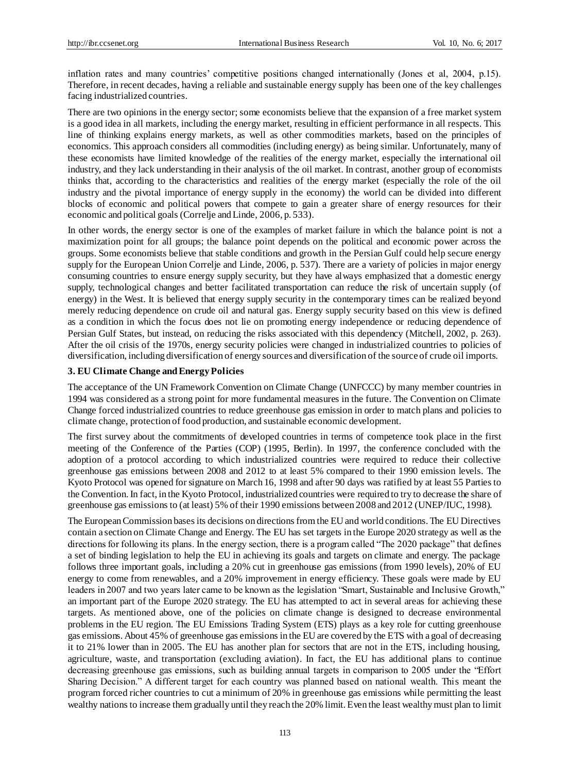inflation rates and many countries' competitive positions changed internationally (Jones et al, 2004, p.15). Therefore, in recent decades, having a reliable and sustainable energy supply has been one of the key challenges facing industrialized countries.

There are two opinions in the energy sector; some economists believe that the expansion of a free market system is a good idea in all markets, including the energy market, resulting in efficient performance in all respects. This line of thinking explains energy markets, as well as other commodities markets, based on the principles of economics. This approach considers all commodities (including energy) as being similar. Unfortunately, many of these economists have limited knowledge of the realities of the energy market, especially the international oil industry, and they lack understanding in their analysis of the oil market. In contrast, another group of economists thinks that, according to the characteristics and realities of the energy market (especially the role of the oil industry and the pivotal importance of energy supply in the economy) the world can be divided into different blocks of economic and political powers that compete to gain a greater share of energy resources for their economic and political goals (Correlje and Linde, 2006, p. 533).

In other words, the energy sector is one of the examples of market failure in which the balance point is not a maximization point for all groups; the balance point depends on the political and economic power across the groups. Some economists believe that stable conditions and growth in the Persian Gulf could help secure energy supply for the European Union Correlje and Linde, 2006, p. 537). There are a variety of policies in major energy consuming countries to ensure energy supply security, but they have always emphasized that a domestic energy supply, technological changes and better facilitated transportation can reduce the risk of uncertain supply (of energy) in the West. It is believed that energy supply security in the contemporary times can be realized beyond merely reducing dependence on crude oil and natural gas. Energy supply security based on this view is defined as a condition in which the focus does not lie on promoting energy independence or reducing dependence of Persian Gulf States, but instead, on reducing the risks associated with this dependency (Mitchell, 2002, p. 263). After the oil crisis of the 1970s, energy security policies were changed in industrialized countries to policies of diversification, including diversification of energy sources and diversification of the source of crude oil imports.

### **3. EU Climate Change and Energy Policies**

The acceptance of the UN Framework Convention on Climate Change (UNFCCC) by many member countries in 1994 was considered as a strong point for more fundamental measures in the future. The Convention on Climate Change forced industrialized countries to reduce greenhouse gas emission in order to match plans and policies to climate change, protection of food production, and sustainable economic development.

The first survey about the commitments of developed countries in terms of competence took place in the first meeting of the Conference of the Parties (COP) (1995, Berlin). In 1997, the conference concluded with the adoption of a protocol according to which industrialized countries were required to reduce their collective greenhouse gas emissions between 2008 and 2012 to at least 5% compared to their 1990 emission levels. The Kyoto Protocol was opened for signature on March 16, 1998 and after 90 days was ratified by at least 55 Parties to the Convention. In fact, in the Kyoto Protocol, industrialized countries were required to try to decrease the share of greenhouse gas emissions to (at least) 5% of their 1990 emissions between 2008 and 2012 (UNEP/IUC, 1998).

The European Commission bases its decisions on directions from the EU and world conditions. The EU Directives contain a section on Climate Change and Energy. The EU has set targets in the Europe 2020 strategy as well as the directions for following its plans. In the energy section, there is a program called "The 2020 package" that defines a set of binding legislation to help the EU in achieving its goals and targets on climate and energy. The package follows three important goals, including a 20% cut in greenhouse gas emissions (from 1990 levels), 20% of EU energy to come from renewables, and a 20% improvement in energy efficiency. These goals were made by EU leaders in 2007 and two years later came to be known as the legislation "Smart, Sustainable and Inclusive Growth," an important part of the Europe 2020 strategy. The EU has attempted to act in several areas for achieving these targets. As mentioned above, one of the policies on climate change is designed to decrease environmental problems in the EU region. The EU Emissions Trading System (ETS) plays as a key role for cutting greenhouse gas emissions. About 45% of greenhouse gas emissions in the EU are covered by the ETS with a goal of decreasing it to 21% lower than in 2005. The EU has another plan for sectors that are not in the ETS, including housing, agriculture, waste, and transportation (excluding aviation). In fact, the EU has additional plans to continue decreasing greenhouse gas emissions, such as building annual targets in comparison to 2005 under the "Effort Sharing Decision." A different target for each country was planned based on national wealth. This meant the program forced richer countries to cut a minimum of 20% in greenhouse gas emissions while permitting the least wealthy nations to increase them gradually until they reach the 20% limit. Even the least wealthy must plan to limit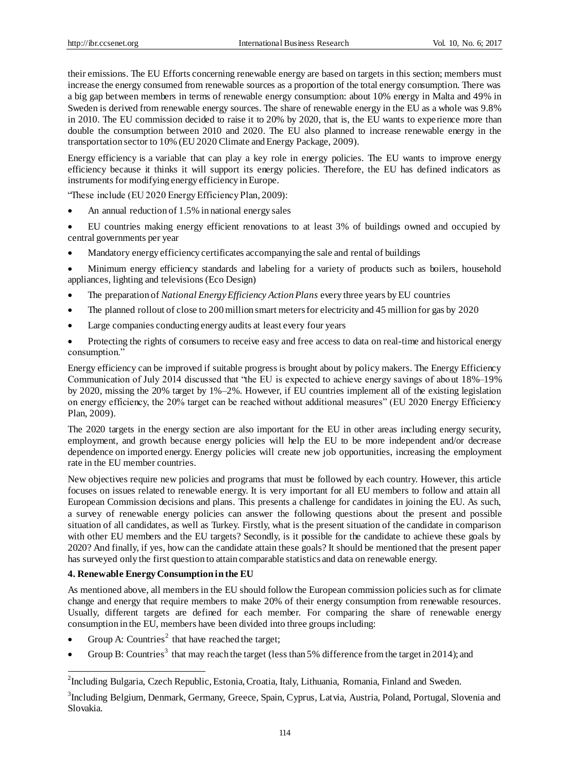their emissions. The EU Efforts concerning renewable energy are based on targets in this section; members must increase the energy consumed from renewable sources as a proportion of the total energy consumption. There was a big gap between members in terms of renewable energy consumption: about 10% energy in Malta and 49% in Sweden is derived from renewable energy sources. The share of renewable energy in the EU as a whole was 9.8% in 2010. The EU commission decided to raise it to 20% by 2020, that is, the EU wants to experience more than double the consumption between 2010 and 2020. The EU also planned to increase renewable energy in the transportation sector to 10% (EU 2020 Climate and Energy Package, 2009).

Energy efficiency is a variable that can play a key role in energy policies. The EU wants to improve energy efficiency because it thinks it will support its energy policies. Therefore, the EU has defined indicators as instruments for modifying energy efficiency in Europe.

"These include (EU 2020 Energy Efficiency Plan, 2009):

- An annual reduction of 1.5% in national energy sales
- EU countries making energy efficient renovations to at least 3% of buildings owned and occupied by central governments per year
- Mandatory energy efficiency certificates accompanying the sale and rental of buildings

 Minimum energy efficiency standards and labeling for a variety of products such as boilers, household appliances, lighting and televisions (Eco Design)

- The preparation of *National Energy Efficiency Action Plans* every three years by EU countries
- The planned rollout of close to 200 million smart meters for electricity and 45 million for gas by 2020
- Large companies conducting energy audits at least every four years
- Protecting the rights of consumers to receive easy and free access to data on real-time and historical energy consumption."

Energy efficiency can be improved if suitable progress is brought about by policy makers. The Energy Efficiency Communication of July 2014 discussed that "the EU is expected to achieve energy savings of about 18%–19% by 2020, missing the 20% target by 1%–2%. However, if EU countries implement all of the existing legislation on energy efficiency, the 20% target can be reached without additional measures" (EU 2020 Energy Efficiency Plan, 2009).

The 2020 targets in the energy section are also important for the EU in other areas including energy security, employment, and growth because energy policies will help the EU to be more independent and/or decrease dependence on imported energy. Energy policies will create new job opportunities, increasing the employment rate in the EU member countries.

New objectives require new policies and programs that must be followed by each country. However, this article focuses on issues related to renewable energy. It is very important for all EU members to follow and attain all European Commission decisions and plans. This presents a challenge for candidates in joining the EU. As such, a survey of renewable energy policies can answer the following questions about the present and possible situation of all candidates, as well as Turkey. Firstly, what is the present situation of the candidate in comparison with other EU members and the EU targets? Secondly, is it possible for the candidate to achieve these goals by 2020? And finally, if yes, how can the candidate attain these goals? It should be mentioned that the present paper has surveyed only the first question to attain comparable statistics and data on renewable energy.

## **4. Renewable Energy Consumption in the EU**

1

As mentioned above, all members in the EU should follow the European commission policies such as for climate change and energy that require members to make 20% of their energy consumption from renewable resources. Usually, different targets are defined for each member. For comparing the share of renewable energy consumption in the EU, members have been divided into three groups including:

- Group A: Countries<sup>2</sup> that have reached the target;
- Group B: Countries<sup>3</sup> that may reach the target (less than 5% difference from the target in 2014); and

<sup>&</sup>lt;sup>2</sup>Including Bulgaria, Czech Republic, Estonia, Croatia, Italy, Lithuania, Romania, Finland and Sweden.

<sup>&</sup>lt;sup>3</sup>Including Belgium, Denmark, Germany, Greece, Spain, Cyprus, Latvia, Austria, Poland, Portugal, Slovenia and Slovakia.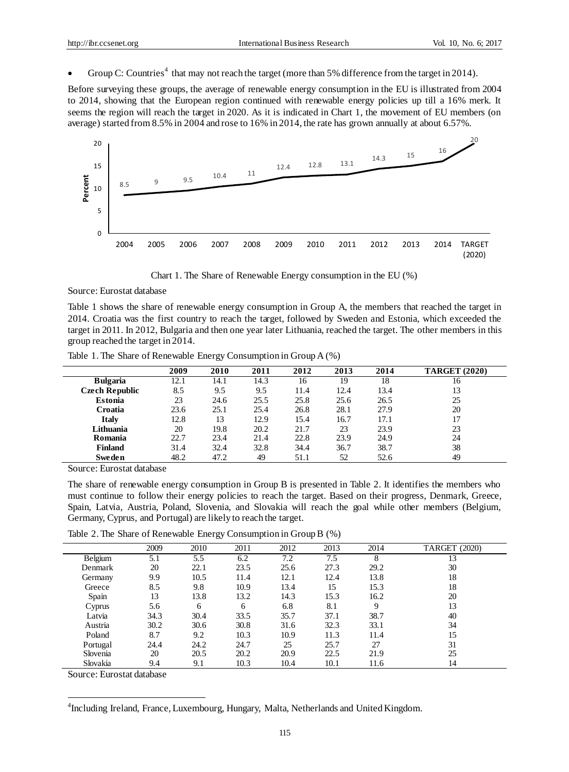• Group C: Countries<sup>4</sup> that may not reach the target (more than 5% difference from the target in 2014).

Before surveying these groups, the average of renewable energy consumption in the EU is illustrated from 2004 to 2014, showing that the European region continued with renewable energy policies up till a 16% merk. It seems the region will reach the target in 2020. As it is indicated in Chart 1, the movement of EU members (on average) started from 8.5% in 2004 and rose to 16% in 2014, the rate has grown annually at about 6.57%.



Chart 1. The Share of Renewable Energy consumption in the EU (%)

Source: Eurostat database

Table 1 shows the share of renewable energy consumption in Group A, the members that reached the target in 2014. Croatia was the first country to reach the target, followed by Sweden and Estonia, which exceeded the target in 2011. In 2012, Bulgaria and then one year later Lithuania, reached the target. The other members in this group reached the target in 2014.

|  |  |  | Table 1. The Share of Renewable Energy Consumption in Group A (%) |  |  |
|--|--|--|-------------------------------------------------------------------|--|--|
|  |  |  |                                                                   |  |  |

|                       | 2009 | 2010 | 2011 | 2012 | 2013 | 2014 | <b>TARGET (2020)</b> |
|-----------------------|------|------|------|------|------|------|----------------------|
| <b>Bulgaria</b>       | 12.1 | 14.1 | 14.3 | 16   | 19   | 18   | 16                   |
| <b>Czech Republic</b> | 8.5  | 9.5  | 9.5  | 11.4 | 12.4 | 13.4 | 13                   |
| Estonia               | 23   | 24.6 | 25.5 | 25.8 | 25.6 | 26.5 | 25                   |
| Croatia               | 23.6 | 25.1 | 25.4 | 26.8 | 28.1 | 27.9 | 20                   |
| <b>Italy</b>          | 12.8 | 13   | 12.9 | 15.4 | 16.7 | 17.1 | 17                   |
| Lithuania             | 20   | 19.8 | 20.2 | 21.7 | 23   | 23.9 | 23                   |
| Romania               | 22.7 | 23.4 | 21.4 | 22.8 | 23.9 | 24.9 | 24                   |
| <b>Finland</b>        | 31.4 | 32.4 | 32.8 | 34.4 | 36.7 | 38.7 | 38                   |
| <b>Sweden</b>         | 48.2 | 47.2 | 49   | 51.1 | 52   | 52.6 | 49                   |

Source: Eurostat database

The share of renewable energy consumption in Group B is presented in Table 2. It identifies the members who must continue to follow their energy policies to reach the target. Based on their progress, Denmark, Greece, Spain, Latvia, Austria, Poland, Slovenia, and Slovakia will reach the goal while other members (Belgium, Germany, Cyprus, and Portugal) are likely to reach the target.

Table 2. The Share of Renewable Energy Consumption in Group B (%)

|          |      | $\tilde{ }$ |      |      |      |      |                      |  |
|----------|------|-------------|------|------|------|------|----------------------|--|
|          | 2009 | 2010        | 2011 | 2012 | 2013 | 2014 | <b>TARGET (2020)</b> |  |
| Belgium  | 5.1  | 5.5         | 6.2  | 7.2  | 7.5  | 8    | 13                   |  |
| Denmark  | 20   | 22.1        | 23.5 | 25.6 | 27.3 | 29.2 | 30                   |  |
| Germany  | 9.9  | 10.5        | 11.4 | 12.1 | 12.4 | 13.8 | 18                   |  |
| Greece   | 8.5  | 9.8         | 10.9 | 13.4 | 15   | 15.3 | 18                   |  |
| Spain    | 13   | 13.8        | 13.2 | 14.3 | 15.3 | 16.2 | 20                   |  |
| Cyprus   | 5.6  | 6           | 6    | 6.8  | 8.1  | 9    | 13                   |  |
| Latvia   | 34.3 | 30.4        | 33.5 | 35.7 | 37.1 | 38.7 | 40                   |  |
| Austria  | 30.2 | 30.6        | 30.8 | 31.6 | 32.3 | 33.1 | 34                   |  |
| Poland   | 8.7  | 9.2         | 10.3 | 10.9 | 11.3 | 11.4 | 15                   |  |
| Portugal | 24.4 | 24.2        | 24.7 | 25   | 25.7 | 27   | 31                   |  |
| Slovenia | 20   | 20.5        | 20.2 | 20.9 | 22.5 | 21.9 | 25                   |  |
| Slovakia | 9.4  | 9.1         | 10.3 | 10.4 | 10.1 | 11.6 | 14                   |  |
|          |      |             |      |      |      |      |                      |  |

Source: Eurostat database

1

<sup>4</sup>Including Ireland, France, Luxembourg, Hungary, Malta, Netherlands and United Kingdom.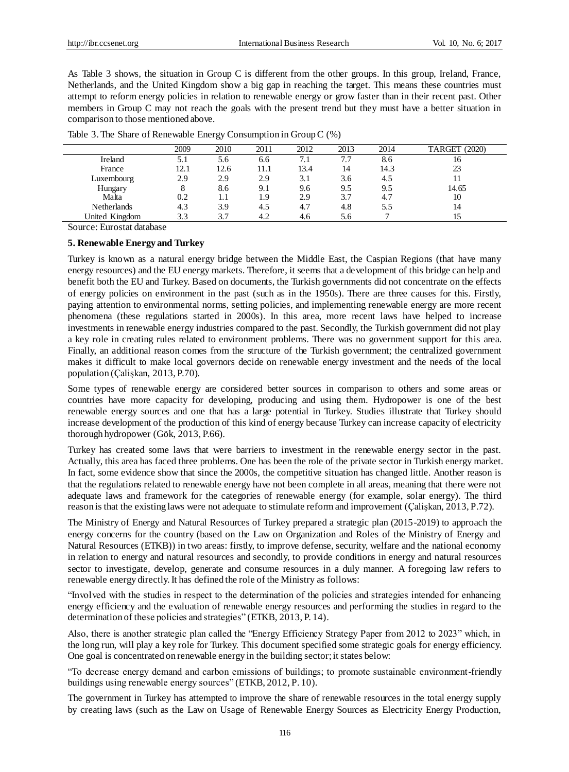As Table 3 shows, the situation in Group C is different from the other groups. In this group, Ireland, France, Netherlands, and the United Kingdom show a big gap in reaching the target. This means these countries must attempt to reform energy policies in relation to renewable energy or grow faster than in their recent past. Other members in Group C may not reach the goals with the present trend but they must have a better situation in comparison to those mentioned above.

|                | 2009 | 2010 | 2011 | 2012 | 2013 | 2014 | <b>TARGET</b> (2020) |
|----------------|------|------|------|------|------|------|----------------------|
| Ireland        | 5.1  | 5.6  | 6.6  | 7.1  | 7.7  | 8.6  | 16                   |
| France         | 12.1 | 12.6 | 11.1 | 13.4 | 14   | 14.3 | 23                   |
| Luxembourg     | 2.9  | 2.9  | 2.9  | 3.1  | 3.6  | 4.5  | 11                   |
| Hungary        | 8    | 8.6  | 9.1  | 9.6  | 9.5  | 9.5  | 14.65                |
| Malta          | 0.2  | L I  | 1.9  | 2.9  | 3.7  | 4.7  | 10                   |
| Netherlands    | 4.3  | 3.9  | 4.5  | 4.7  | 4.8  | 5.5  | 14                   |
| United Kingdom | 3.3  | 3.7  | 4.2  | 4.6  | 5.6  |      | 15                   |

|  |  | Table 3. The Share of Renewable Energy Consumption in Group C (%) |  |  |  |  |
|--|--|-------------------------------------------------------------------|--|--|--|--|
|--|--|-------------------------------------------------------------------|--|--|--|--|

Source: Eurostat database

## **5. Renewable Energy and Turkey**

Turkey is known as a natural energy bridge between the Middle East, the Caspian Regions (that have many energy resources) and the EU energy markets. Therefore, it seems that a development of this bridge can help and benefit both the EU and Turkey. Based on documents, the Turkish governments did not concentrate on the effects of energy policies on environment in the past (such as in the 1950s). There are three causes for this. Firstly, paying attention to environmental norms, setting policies, and implementing renewable energy are more recent phenomena (these regulations started in 2000s). In this area, more recent laws have helped to increase investments in renewable energy industries compared to the past. Secondly, the Turkish government did not play a key role in creating rules related to environment problems. There was no government support for this area. Finally, an additional reason comes from the structure of the Turkish government; the centralized government makes it difficult to make local governors decide on renewable energy investment and the needs of the local population (Çalişkan, 2013, P.70).

Some types of renewable energy are considered better sources in comparison to others and some areas or countries have more capacity for developing, producing and using them. Hydropower is one of the best renewable energy sources and one that has a large potential in Turkey. Studies illustrate that Turkey should increase development of the production of this kind of energy because Turkey can increase capacity of electricity thorough hydropower (Gök, 2013, P.66).

Turkey has created some laws that were barriers to investment in the renewable energy sector in the past. Actually, this area has faced three problems. One has been the role of the private sector in Turkish energy market. In fact, some evidence show that since the 2000s, the competitive situation has changed little. Another reason is that the regulations related to renewable energy have not been complete in all areas, meaning that there were not adequate laws and framework for the categories of renewable energy (for example, solar energy). The third reason is that the existing laws were not adequate to stimulate reform and improvement (Çalişkan, 2013, P.72).

The Ministry of Energy and Natural Resources of Turkey prepared a strategic plan (2015-2019) to approach the energy concerns for the country (based on the Law on Organization and Roles of the Ministry of Energy and Natural Resources (ETKB)) in two areas: firstly, to improve defense, security, welfare and the national economy in relation to energy and natural resources and secondly, to provide conditions in energy and natural resources sector to investigate, develop, generate and consume resources in a duly manner. A foregoing law refers to renewable energy directly. It has defined the role of the Ministry as follows:

"Involved with the studies in respect to the determination of the policies and strategies intended for enhancing energy efficiency and the evaluation of renewable energy resources and performing the studies in regard to the determination of these policies and strategies" (ETKB, 2013, P. 14).

Also, there is another strategic plan called the "Energy Efficiency Strategy Paper from 2012 to 2023" which, in the long run, will play a key role for Turkey. This document specified some strategic goals for energy efficiency. One goal is concentrated on renewable energy in the building sector; it states below:

"To decrease energy demand and carbon emissions of buildings; to promote sustainable environment-friendly buildings using renewable energy sources" (ETKB, 2012, P. 10).

The government in Turkey has attempted to improve the share of renewable resources in the total energy supply by creating laws (such as the Law on Usage of Renewable Energy Sources as Electricity Energy Production,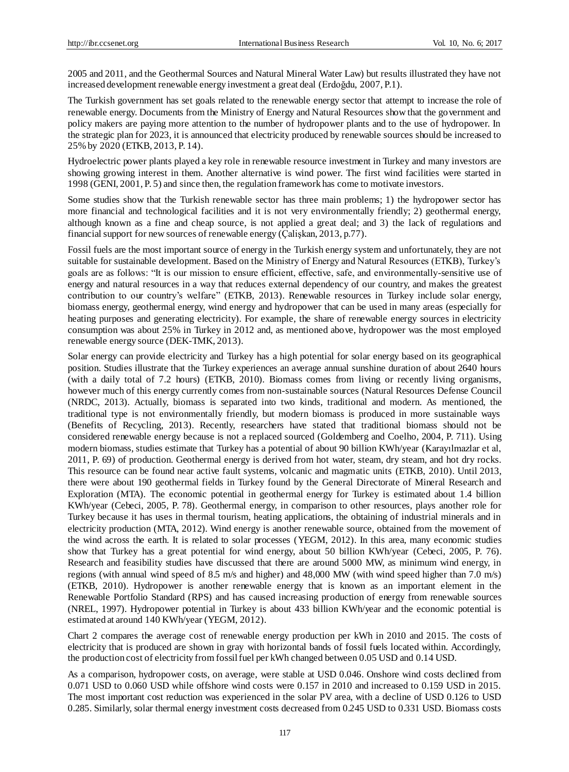2005 and 2011, and the Geothermal Sources and Natural Mineral Water Law) but results illustrated they have not increased development renewable energy investment a great deal (Erdoğdu, 2007, P.1).

The Turkish government has set goals related to the renewable energy sector that attempt to increase the role of renewable energy. Documents from the Ministry of Energy and Natural Resources show that the government and policy makers are paying more attention to the number of hydropower plants and to the use of hydropower. In the strategic plan for 2023, it is announced that electricity produced by renewable sources should be increased to 25% by 2020 (ETKB, 2013, P. 14).

Hydroelectric power plants played a key role in renewable resource investment in Turkey and many investors are showing growing interest in them. Another alternative is wind power. The first wind facilities were started in 1998 (GENI, 2001, P. 5) and since then, the regulation framework has come to motivate investors.

Some studies show that the Turkish renewable sector has three main problems; 1) the hydropower sector has more financial and technological facilities and it is not very environmentally friendly; 2) geothermal energy, although known as a fine and cheap source, is not applied a great deal; and 3) the lack of regulations and financial support for new sources of renewable energy (Çalişkan, 2013, p.77).

Fossil fuels are the most important source of energy in the Turkish energy system and unfortunately, they are not suitable for sustainable development. Based on the Ministry of Energy and Natural Resources (ETKB), Turkey's goals are as follows: "It is our mission to ensure efficient, effective, safe, and environmentally-sensitive use of energy and natural resources in a way that reduces external dependency of our country, and makes the greatest contribution to our country's welfare" (ETKB, 2013). Renewable resources in Turkey include solar energy, biomass energy, geothermal energy, wind energy and hydropower that can be used in many areas (especially for heating purposes and generating electricity). For example, the share of renewable energy sources in electricity consumption was about 25% in Turkey in 2012 and, as mentioned above, hydropower was the most employed renewable energy source (DEK-TMK, 2013).

Solar energy can provide electricity and Turkey has a high potential for solar energy based on its geographical position. Studies illustrate that the Turkey experiences an average annual sunshine duration of about 2640 hours (with a daily total of 7.2 hours) (ETKB, 2010). Biomass comes from living or recently living organisms, however much of this energy currently comes from non-sustainable sources (Natural Resources Defense Council (NRDC, 2013). Actually, biomass is separated into two kinds, traditional and modern. As mentioned, the traditional type is not environmentally friendly, but modern biomass is produced in more sustainable ways (Benefits of Recycling, 2013). Recently, researchers have stated that traditional biomass should not be considered renewable energy because is not a replaced sourced (Goldemberg and Coelho, 2004, P. 711). Using modern biomass, studies estimate that Turkey has a potential of about 90 billion KWh/year (Karayılmazlar et al, 2011, P. 69) of production. Geothermal energy is derived from hot water, steam, dry steam, and hot dry rocks. This resource can be found near active fault systems, volcanic and magmatic units (ETKB, 2010). Until 2013, there were about 190 geothermal fields in Turkey found by the General Directorate of Mineral Research and Exploration (MTA). The economic potential in geothermal energy for Turkey is estimated about 1.4 billion KWh/year (Cebeci, 2005, P. 78). Geothermal energy, in comparison to other resources, plays another role for Turkey because it has uses in thermal tourism, heating applications, the obtaining of industrial minerals and in electricity production (MTA, 2012). Wind energy is another renewable source, obtained from the movement of the wind across the earth. It is related to solar processes (YEGM, 2012). In this area, many economic studies show that Turkey has a great potential for wind energy, about 50 billion KWh/year (Cebeci, 2005, P. 76). Research and feasibility studies have discussed that there are around 5000 MW, as minimum wind energy, in regions (with annual wind speed of 8.5 m/s and higher) and 48,000 MW (with wind speed higher than 7.0 m/s) (ETKB, 2010). Hydropower is another renewable energy that is known as an important element in the Renewable Portfolio Standard (RPS) and has caused increasing production of energy from renewable sources (NREL, 1997). Hydropower potential in Turkey is about 433 billion KWh/year and the economic potential is estimated at around 140 KWh/year (YEGM, 2012).

Chart 2 compares the average cost of renewable energy production per kWh in 2010 and 2015. The costs of electricity that is produced are shown in gray with horizontal bands of fossil fuels located within. Accordingly, the production cost of electricity from fossil fuel per kWh changed between 0.05 USD and 0.14 USD.

As a comparison, hydropower costs, on average, were stable at USD 0.046. Onshore wind costs declined from 0.071 USD to 0.060 USD while offshore wind costs were 0.157 in 2010 and increased to 0.159 USD in 2015. The most important cost reduction was experienced in the solar PV area, with a decline of USD 0.126 to USD 0.285. Similarly, solar thermal energy investment costs decreased from 0.245 USD to 0.331 USD. Biomass costs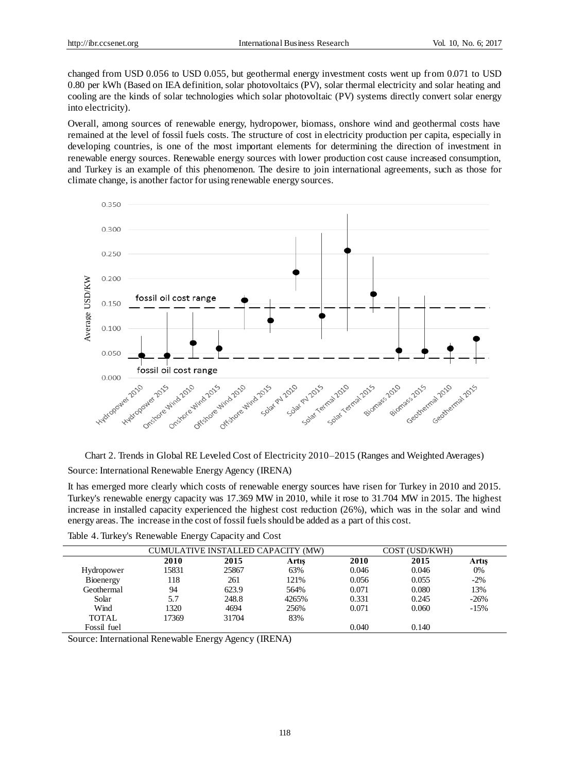changed from USD 0.056 to USD 0.055, but geothermal energy investment costs went up from 0.071 to USD 0.80 per kWh (Based on IEA definition, solar photovoltaics (PV), solar thermal electricity and solar heating and cooling are the kinds of solar technologies which solar photovoltaic (PV) systems directly convert solar energy into electricity).

Overall, among sources of renewable energy, hydropower, biomass, onshore wind and geothermal costs have remained at the level of fossil fuels costs. The structure of cost in electricity production per capita, especially in developing countries, is one of the most important elements for determining the direction of investment in renewable energy sources. Renewable energy sources with lower production cost cause increased consumption, and Turkey is an example of this phenomenon. The desire to join international agreements, such as those for climate change, is another factor for using renewable energy sources.



Chart 2. Trends in Global RE Leveled Cost of Electricity 2010–2015 (Ranges and Weighted Averages) Source: International Renewable Energy Agency (IRENA)

It has emerged more clearly which costs of renewable energy sources have risen for Turkey in 2010 and 2015. Turkey's renewable energy capacity was 17.369 MW in 2010, while it rose to 31.704 MW in 2015. The highest increase in installed capacity experienced the highest cost reduction (26%), which was in the solar and wind energy areas. The increase in the cost of fossil fuels should be added as a part of this cost.

|             | CUMULATIVE INSTALLED CAPACITY (MW) |       |       |       | COST (USD/KWH) |        |
|-------------|------------------------------------|-------|-------|-------|----------------|--------|
|             | 2010                               | 2015  | Artış | 2010  | 2015           | Artıs  |
| Hydropower  | 15831                              | 25867 | 63%   | 0.046 | 0.046          | 0%     |
| Bioenergy   | 118                                | 261   | 121%  | 0.056 | 0.055          | $-2\%$ |
| Geothermal  | 94                                 | 623.9 | 564%  | 0.071 | 0.080          | 13%    |
| Solar       | 5.7                                | 248.8 | 4265% | 0.331 | 0.245          | $-26%$ |
| Wind        | 1320                               | 4694  | 256%  | 0.071 | 0.060          | $-15%$ |
| TOTAL       | 17369                              | 31704 | 83%   |       |                |        |
| Fossil fuel |                                    |       |       | 0.040 | 0.140          |        |

Table 4. Turkey's Renewable Energy Capacity and Cost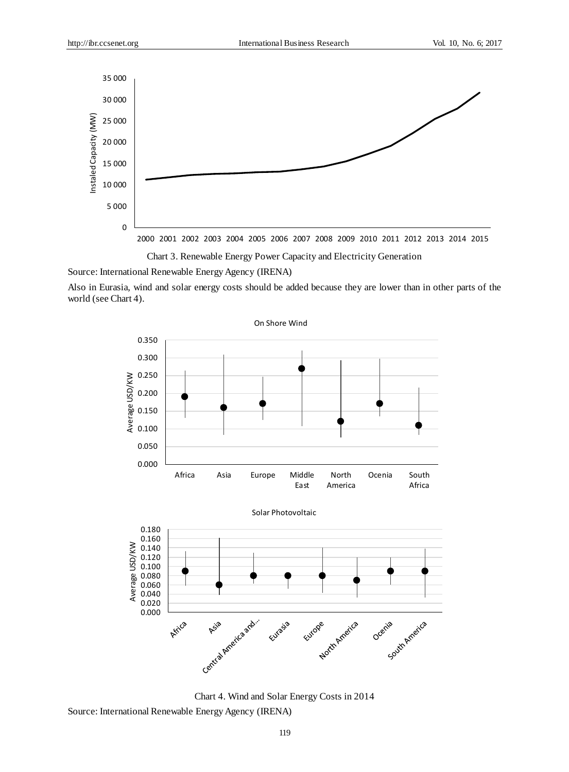

Chart 3. Renewable Energy Power Capacity and Electricity Generation

Source: International Renewable Energy Agency (IRENA)

Also in Eurasia, wind and solar energy costs should be added because they are lower than in other parts of the world (see Chart 4).



Chart 4. Wind and Solar Energy Costs in 2014

Source: International Renewable Energy Agency (IRENA)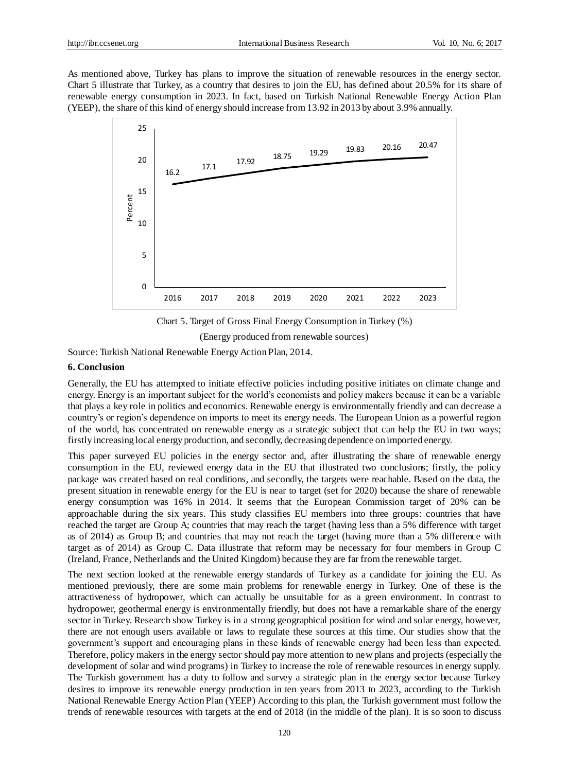As mentioned above, Turkey has plans to improve the situation of renewable resources in the energy sector. Chart 5 illustrate that Turkey, as a country that desires to join the EU, has defined about 20.5% for its share of renewable energy consumption in 2023. In fact, based on Turkish National Renewable Energy Action Plan (YEEP), the share of this kind of energy should increase from 13.92 in 2013 by about 3.9% annually.



Chart 5. Target of Gross Final Energy Consumption in Turkey (%) (Energy produced from renewable sources)

Source: Turkish National Renewable Energy Action Plan, 2014.

## **6. Conclusion**

Generally, the EU has attempted to initiate effective policies including positive initiates on climate change and energy. Energy is an important subject for the world's economists and policy makers because it can be a variable that plays a key role in politics and economics. Renewable energy is environmentally friendly and can decrease a country's or region's dependence on imports to meet its energy needs. The European Union as a powerful region of the world, has concentrated on renewable energy as a strategic subject that can help the EU in two ways; firstly increasing local energy production, and secondly, decreasing dependence on imported energy.

This paper surveyed EU policies in the energy sector and, after illustrating the share of renewable energy consumption in the EU, reviewed energy data in the EU that illustrated two conclusions; firstly, the policy package was created based on real conditions, and secondly, the targets were reachable. Based on the data, the present situation in renewable energy for the EU is near to target (set for 2020) because the share of renewable energy consumption was 16% in 2014. It seems that the European Commission target of 20% can be approachable during the six years. This study classifies EU members into three groups: countries that have reached the target are Group A; countries that may reach the target (having less than a 5% difference with target as of 2014) as Group B; and countries that may not reach the target (having more than a 5% difference with target as of 2014) as Group C. Data illustrate that reform may be necessary for four members in Group C (Ireland, France, Netherlands and the United Kingdom) because they are far from the renewable target.

The next section looked at the renewable energy standards of Turkey as a candidate for joining the EU. As mentioned previously, there are some main problems for renewable energy in Turkey. One of these is the attractiveness of hydropower, which can actually be unsuitable for as a green environment. In contrast to hydropower, geothermal energy is environmentally friendly, but does not have a remarkable share of the energy sector in Turkey. Research show Turkey is in a strong geographical position for wind and solar energy, however, there are not enough users available or laws to regulate these sources at this time. Our studies show that the government's support and encouraging plans in these kinds of renewable energy had been less than expected. Therefore, policy makers in the energy sector should pay more attention to new plans and projects (especially the development of solar and wind programs) in Turkey to increase the role of renewable resources in energy supply. The Turkish government has a duty to follow and survey a strategic plan in the energy sector because Turkey desires to improve its renewable energy production in ten years from 2013 to 2023, according to the Turkish National Renewable Energy Action Plan (YEEP) According to this plan, the Turkish government must follow the trends of renewable resources with targets at the end of 2018 (in the middle of the plan). It is so soon to discuss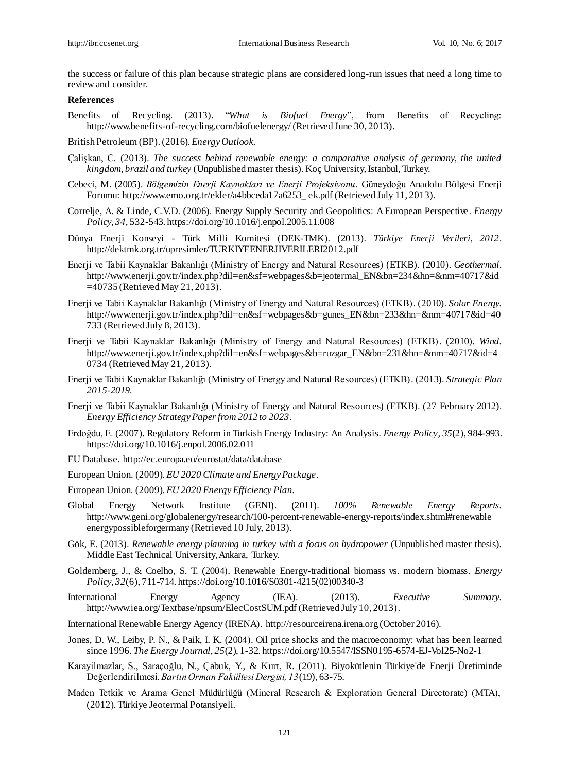the success or failure of this plan because strategic plans are considered long-run issues that need a long time to review and consider.

#### **References**

- Benefits of Recycling. (2013). "*What is Biofuel Energy*", from Benefits of Recycling: http://www.benefits-of-recycling.com/biofuelenergy/ (Retrieved June 30, 2013).
- British Petroleum (BP).(2016). *Energy Outlook*.
- Çalişkan, C. (2013). *The success behind renewable energy: a comparative analysis of germany, the united kingdom, brazil and turkey* (Unpublished master thesis). Koç University, Istanbul, Turkey.
- Cebeci, M. (2005). *Bölgemizin Enerji Kaynakları ve Enerji Projeksiyonu.* Güneydoğu Anadolu Bölgesi Enerji Forumu: http://www.emo.org.tr/ekler/a4bbceda17a6253\_ ek.pdf (Retrieved July 11, 2013).
- Correlje, A. & Linde, C.V.D. (2006). Energy Supply Security and Geopolitics: A European Perspective. *Energy Policy, 34,* 532-543. https://doi.org/10.1016/j.enpol.2005.11.008
- Dünya Enerji Konseyi Türk Milli Komitesi (DEK-TMK). (2013). *Türkiye Enerji Verileri, 2012*. http://dektmk.org.tr/upresimler/TURKIYEENERJIVERILERI2012.pdf
- Enerji ve Tabii Kaynaklar Bakanlığı (Ministry of Energy and Natural Resources) (ETKB). (2010). *Geothermal*. http://www.enerji.gov.tr/index.php?dil=en&sf=webpages&b=jeotermal\_EN&bn=234&hn=&nm=40717&id =40735 (Retrieved May 21, 2013).
- Enerji ve Tabii Kaynaklar Bakanlığı (Ministry of Energy and Natural Resources) (ETKB). (2010). *Solar Energy.*  http://www.enerji.gov.tr/index.php?dil=en&sf=webpages&b=gunes\_EN&bn=233&hn=&nm=40717&id=40 733 (Retrieved July 8, 2013).
- Enerji ve Tabii Kaynaklar Bakanlığı (Ministry of Energy and Natural Resources) (ETKB). (2010). *Wind.* http://www.enerji.gov.tr/index.php?dil=en&sf=webpages&b=ruzgar\_EN&bn=231&hn=&nm=40717&id=4 0734 (Retrieved May 21, 2013).
- Enerji ve Tabii Kaynaklar Bakanlığı (Ministry of Energy and Natural Resources) (ETKB). (2013). *Strategic Plan 2015-2019*.
- Enerji ve Tabii Kaynaklar Bakanlığı (Ministry of Energy and Natural Resources) (ETKB). (27 February 2012). *Energy Efficiency Strategy Paper from 2012 to 2023*.
- Erdoğdu, E. (2007). Regulatory Reform in Turkish Energy Industry: An Analysis. *Energy Policy, 35*(2), 984-993. https://doi.org/10.1016/j.enpol.2006.02.011
- EU Database. http://ec.europa.eu/eurostat/data/database
- European Union. (2009). *EU 2020 Climate and Energy Package*.
- European Union. (2009). *EU 2020 Energy Efficiency Plan*.
- Global Energy Network Institute (GENI). (2011). *100% Renewable Energy Reports.* http://www.geni.org/globalenergy/research/100-percent-renewable-energy-reports/index.shtml#renewable energypossibleforgermany (Retrieved 10 July, 2013).
- Gök, E. (2013). *Renewable energy planning in turkey with a focus on hydropower* (Unpublished master thesis)*.* Middle East Technical University, Ankara, Turkey.
- Goldemberg, J., & Coelho, S. T. (2004). Renewable Energy-traditional biomass vs. modern biomass. *Energy Policy, 32*(6), 711-714. https://doi.org/10.1016/S0301-4215(02)00340-3
- International Energy Agency (IEA). (2013). *Executive Summary.* http://www.iea.org/Textbase/npsum/ElecCostSUM.pdf (Retrieved July 10, 2013).
- International Renewable Energy Agency (IRENA). http://resourceirena.irena.org (October 2016).
- Jones, D. W., Leiby, P. N., & Paik, I. K. (2004). Oil price shocks and the macroeconomy: what has been learned since 1996. *The Energy Journal, 25*(2), 1-32. https://doi.org/10.5547/ISSN0195-6574-EJ-Vol25-No2-1
- Karayilmazlar, S., Saraçoğlu, N., Çabuk, Y., & Kurt, R. (2011). Biyokütlenin Türkiye'de Enerji Üretiminde Değerlendirilmesi. *Bartın Orman Fakültesi Dergisi, 13*(19), 63-75.
- Maden Tetkik ve Arama Genel Müdürlüğü (Mineral Research & Exploration General Directorate) (MTA), (2012). Türkiye Jeotermal Potansiyeli.